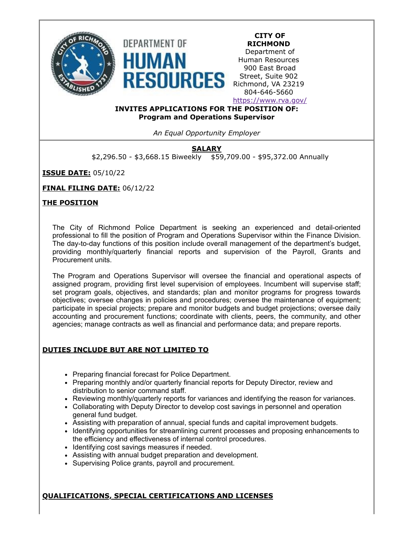



**RICHMOND** Department of Human Resources 900 East Broad Street, Suite 902 Richmond, VA 23219 804-646-5660 <https://www.rva.gov/>

**CITY OF**

**INVITES APPLICATIONS FOR THE POSITION OF: Program and Operations Supervisor**

*An Equal Opportunity Employer*

# **SALARY**

\$2,296.50 - \$3,668.15 Biweekly \$59,709.00 - \$95,372.00 Annually

**ISSUE DATE:** 05/10/22

**FINAL FILING DATE:** 06/12/22

# **THE POSITION**

The City of Richmond Police Department is seeking an experienced and detail-oriented professional to fill the position of Program and Operations Supervisor within the Finance Division. The day-to-day functions of this position include overall management of the department's budget, providing monthly/quarterly financial reports and supervision of the Payroll, Grants and Procurement units.

The Program and Operations Supervisor will oversee the financial and operational aspects of assigned program, providing first level supervision of employees. Incumbent will supervise staff; set program goals, objectives, and standards; plan and monitor programs for progress towards objectives; oversee changes in policies and procedures; oversee the maintenance of equipment; participate in special projects; prepare and monitor budgets and budget projections; oversee daily accounting and procurement functions; coordinate with clients, peers, the community, and other agencies; manage contracts as well as financial and performance data; and prepare reports.

# **DUTIES INCLUDE BUT ARE NOT LIMITED TO**

- Preparing financial forecast for Police Department.
- Preparing monthly and/or quarterly financial reports for Deputy Director, review and distribution to senior command staff.
- Reviewing monthly/quarterly reports for variances and identifying the reason for variances.
- Collaborating with Deputy Director to develop cost savings in personnel and operation general fund budget.
- Assisting with preparation of annual, special funds and capital improvement budgets.
- Identifying opportunities for streamlining current processes and proposing enhancements to the efficiency and effectiveness of internal control procedures.
- Identifying cost savings measures if needed.
- Assisting with annual budget preparation and development.
- Supervising Police grants, payroll and procurement.

**QUALIFICATIONS, SPECIAL CERTIFICATIONS AND LICENSES**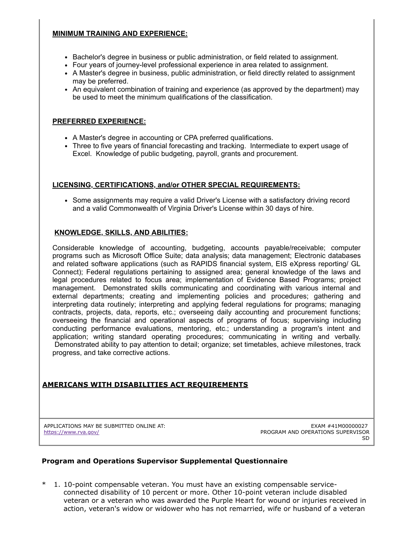# **MINIMUM TRAINING AND EXPERIENCE:**

- Bachelor's degree in business or public administration, or field related to assignment.
- Four years of journey-level professional experience in area related to assignment.
- A Master's degree in business, public administration, or field directly related to assignment may be preferred.
- An equivalent combination of training and experience (as approved by the department) may be used to meet the minimum qualifications of the classification.

### **PREFERRED EXPERIENCE:**

- A Master's degree in accounting or CPA preferred qualifications.
- Three to five years of financial forecasting and tracking. Intermediate to expert usage of Excel. Knowledge of public budgeting, payroll, grants and procurement.

# **LICENSING, CERTIFICATIONS, and/or OTHER SPECIAL REQUIREMENTS:**

• Some assignments may require a valid Driver's License with a satisfactory driving record and a valid Commonwealth of Virginia Driver's License within 30 days of hire.

# **KNOWLEDGE, SKILLS, AND ABILITIES:**

Considerable knowledge of accounting, budgeting, accounts payable/receivable; computer programs such as Microsoft Office Suite; data analysis; data management; Electronic databases and related software applications (such as RAPIDS financial system, EIS eXpress reporting/ GL Connect); Federal regulations pertaining to assigned area; general knowledge of the laws and legal procedures related to focus area; implementation of Evidence Based Programs; project management. Demonstrated skills communicating and coordinating with various internal and external departments; creating and implementing policies and procedures; gathering and interpreting data routinely; interpreting and applying federal regulations for programs; managing contracts, projects, data, reports, etc.; overseeing daily accounting and procurement functions; overseeing the financial and operational aspects of programs of focus; supervising including conducting performance evaluations, mentoring, etc.; understanding a program's intent and application; writing standard operating procedures; communicating in writing and verbally. Demonstrated ability to pay attention to detail; organize; set timetables, achieve milestones, track progress, and take corrective actions.

# **AMERICANS WITH DISABILITIES ACT REQUIREMENTS**

APPLICATIONS MAY BE SUBMITTED ONLINE AT: <https://www.rva.gov/>

EXAM #41M00000027 PROGRAM AND OPERATIONS SUPERVISOR SD

#### **Program and Operations Supervisor Supplemental Questionnaire**

1. 10-point compensable veteran. You must have an existing compensable serviceconnected disability of 10 percent or more. Other 10-point veteran include disabled veteran or a veteran who was awarded the Purple Heart for wound or injuries received in action, veteran's widow or widower who has not remarried, wife or husband of a veteran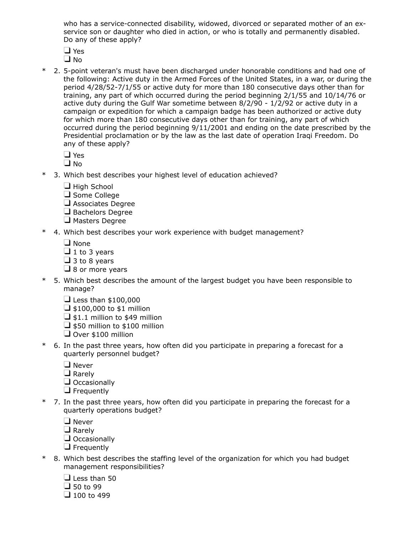who has a service-connected disability, widowed, divorced or separated mother of an exservice son or daughter who died in action, or who is totally and permanently disabled. Do any of these apply?

- □ Yes
- $\Box$  No
- \* 2. 5-point veteran's must have been discharged under honorable conditions and had one of the following: Active duty in the Armed Forces of the United States, in a war, or during the period 4/28/52-7/1/55 or active duty for more than 180 consecutive days other than for training, any part of which occurred during the period beginning 2/1/55 and 10/14/76 or active duty during the Gulf War sometime between 8/2/90 - 1/2/92 or active duty in a campaign or expedition for which a campaign badge has been authorized or active duty for which more than 180 consecutive days other than for training, any part of which occurred during the period beginning 9/11/2001 and ending on the date prescribed by the Presidential proclamation or by the law as the last date of operation Iraqi Freedom. Do any of these apply?
	- □ Yes
	- $\square$  No
- 3. Which best describes your highest level of education achieved?
	- $\Box$  High School
	- $\Box$  Some College
	- Associates Degree
	- $\Box$  Bachelors Degree
	- $\Box$  Masters Degree
- \* 4. Which best describes your work experience with budget management?
	- $\Box$  None
	- $\Box$  1 to 3 years
	- $\Box$  3 to 8 years
	- $\Box$  8 or more years
- \* 5. Which best describes the amount of the largest budget you have been responsible to manage?
	- $\Box$  Less than \$100,000
	- $\Box$  \$100,000 to \$1 million
	- $\Box$  \$1.1 million to \$49 million
	- $\Box$  \$50 million to \$100 million
	- Over \$100 million
- \* 6. In the past three years, how often did you participate in preparing a forecast for a quarterly personnel budget?
	- **O** Never
	- $\Box$  Rarely
	- $\Box$  Occasionally
	- $\Box$  Frequently
- \* 7. In the past three years, how often did you participate in preparing the forecast for a quarterly operations budget?
	- **O** Never
	- $\Box$  Rarely
	- $\Box$  Occasionally
	- $\Box$  Frequently
- \* 8. Which best describes the staffing level of the organization for which you had budget management responsibilities?
	- $\Box$  Less than 50
	- $\Box$  50 to 99
	- $\Box$  100 to 499